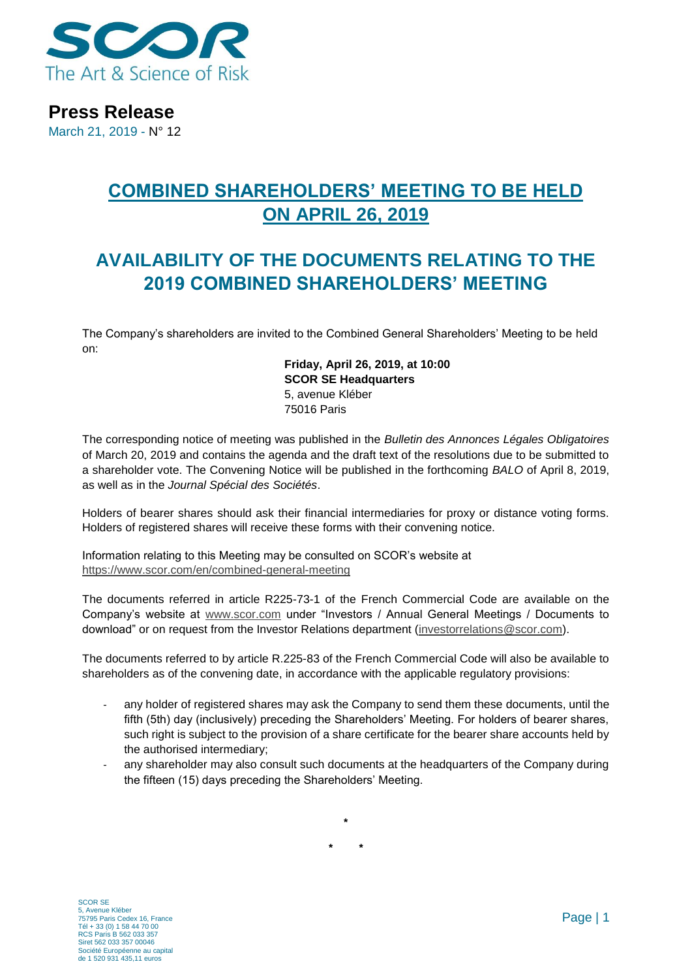

**Press Release**

March 21, 2019 - N° 12

# **COMBINED SHAREHOLDERS' MEETING TO BE HELD ON APRIL 26, 2019**

## **AVAILABILITY OF THE DOCUMENTS RELATING TO THE 2019 COMBINED SHAREHOLDERS' MEETING**

The Company's shareholders are invited to the Combined General Shareholders' Meeting to be held on:

> **Friday, April 26, 2019, at 10:00 SCOR SE Headquarters** 5, avenue Kléber 75016 Paris

The corresponding notice of meeting was published in the *Bulletin des Annonces Légales Obligatoires*  of March 20, 2019 and contains the agenda and the draft text of the resolutions due to be submitted to a shareholder vote. The Convening Notice will be published in the forthcoming *BALO* of April 8, 2019, as well as in the *Journal Spécial des Sociétés*.

Holders of bearer shares should ask their financial intermediaries for proxy or distance voting forms. Holders of registered shares will receive these forms with their convening notice.

Information relating to this Meeting may be consulted on SCOR's website at <https://www.scor.com/en/combined-general-meeting>

The documents referred in article R225-73-1 of the French Commercial Code are available on the Company's website at [www.scor.com](http://www.scor.com/) under "Investors / Annual General Meetings / Documents to download" or on request from the Investor Relations department [\(investorrelations@scor.com\)](mailto:Investorrelations@scor.com).

The documents referred to by article R.225-83 of the French Commercial Code will also be available to shareholders as of the convening date, in accordance with the applicable regulatory provisions:

- any holder of registered shares may ask the Company to send them these documents, until the fifth (5th) day (inclusively) preceding the Shareholders' Meeting. For holders of bearer shares, such right is subject to the provision of a share certificate for the bearer share accounts held by the authorised intermediary;
- any shareholder may also consult such documents at the headquarters of the Company during the fifteen (15) days preceding the Shareholders' Meeting.

**\* \***

**\***